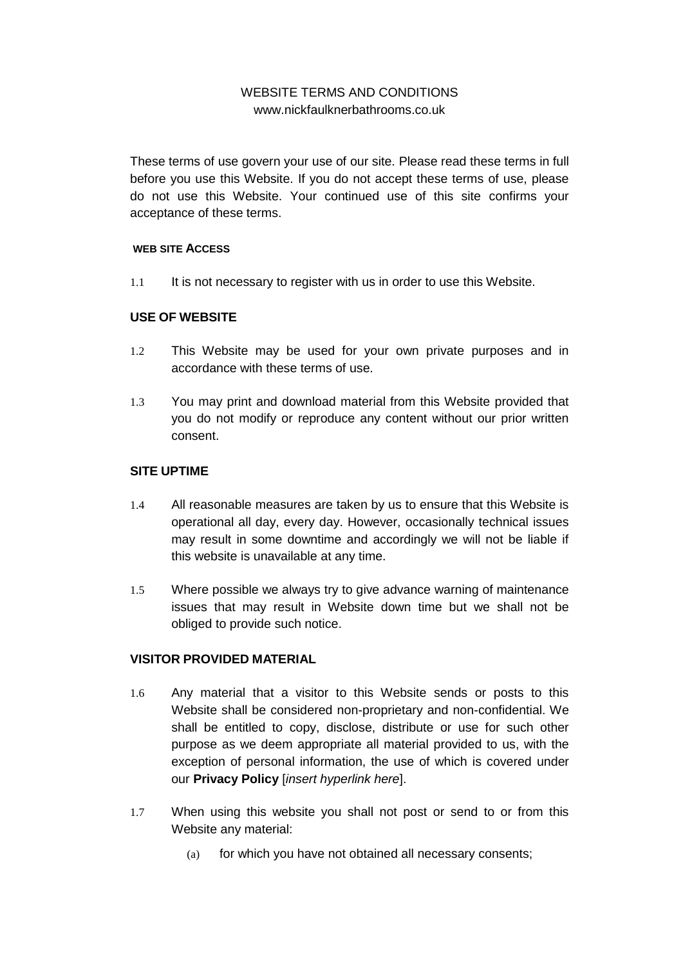# WEBSITE TERMS AND CONDITIONS www.nickfaulknerbathrooms.co.uk

These terms of use govern your use of our site. Please read these terms in full before you use this Website. If you do not accept these terms of use, please do not use this Website. Your continued use of this site confirms your acceptance of these terms.

#### **WEB SITE ACCESS**

1.1 It is not necessary to register with us in order to use this Website.

## **USE OF WEBSITE**

- 1.2 This Website may be used for your own private purposes and in accordance with these terms of use.
- 1.3 You may print and download material from this Website provided that you do not modify or reproduce any content without our prior written consent.

#### **SITE UPTIME**

- 1.4 All reasonable measures are taken by us to ensure that this Website is operational all day, every day. However, occasionally technical issues may result in some downtime and accordingly we will not be liable if this website is unavailable at any time.
- 1.5 Where possible we always try to give advance warning of maintenance issues that may result in Website down time but we shall not be obliged to provide such notice.

# **VISITOR PROVIDED MATERIAL**

- 1.6 Any material that a visitor to this Website sends or posts to this Website shall be considered non-proprietary and non-confidential. We shall be entitled to copy, disclose, distribute or use for such other purpose as we deem appropriate all material provided to us, with the exception of personal information, the use of which is covered under our **Privacy Policy** [*insert hyperlink here*].
- <span id="page-0-0"></span>1.7 When using this website you shall not post or send to or from this Website any material:
	- (a) for which you have not obtained all necessary consents;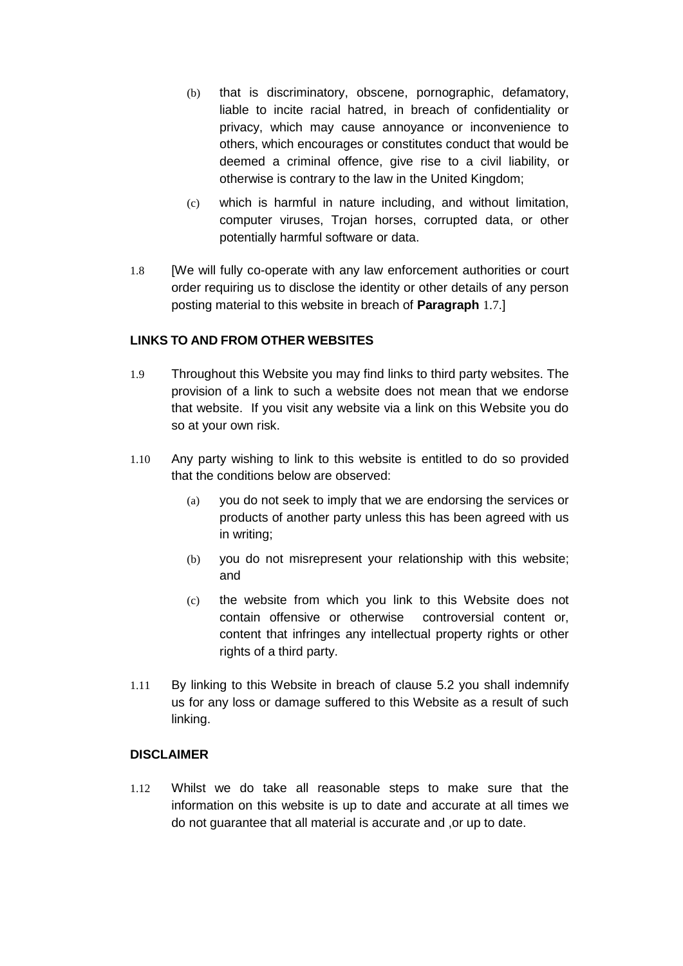- (b) that is discriminatory, obscene, pornographic, defamatory, liable to incite racial hatred, in breach of confidentiality or privacy, which may cause annoyance or inconvenience to others, which encourages or constitutes conduct that would be deemed a criminal offence, give rise to a civil liability, or otherwise is contrary to the law in the United Kingdom;
- (c) which is harmful in nature including, and without limitation, computer viruses, Trojan horses, corrupted data, or other potentially harmful software or data.
- 1.8 [We will fully co-operate with any law enforcement authorities or court order requiring us to disclose the identity or other details of any person posting material to this website in breach of **Paragraph** [1.7](#page-0-0).]

## **LINKS TO AND FROM OTHER WEBSITES**

- 1.9 Throughout this Website you may find links to third party websites. The provision of a link to such a website does not mean that we endorse that website. If you visit any website via a link on this Website you do so at your own risk.
- 1.10 Any party wishing to link to this website is entitled to do so provided that the conditions below are observed:
	- (a) you do not seek to imply that we are endorsing the services or products of another party unless this has been agreed with us in writing;
	- (b) you do not misrepresent your relationship with this website; and
	- (c) the website from which you link to this Website does not contain offensive or otherwise controversial content or, content that infringes any intellectual property rights or other rights of a third party.
- 1.11 By linking to this Website in breach of clause 5.2 you shall indemnify us for any loss or damage suffered to this Website as a result of such linking.

#### **DISCLAIMER**

1.12 Whilst we do take all reasonable steps to make sure that the information on this website is up to date and accurate at all times we do not guarantee that all material is accurate and ,or up to date.